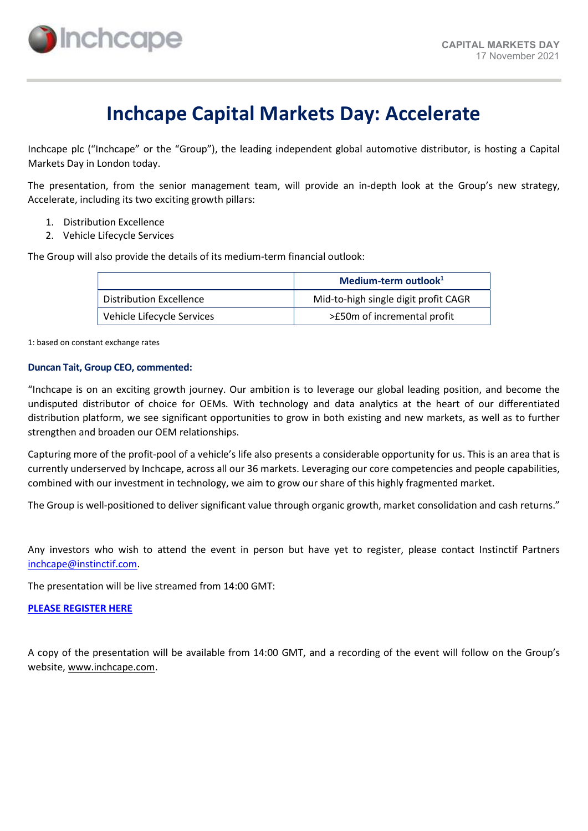

# Inchcape Capital Markets Day: Accelerate

Inchcape plc ("Inchcape" or the "Group"), the leading independent global automotive distributor, is hosting a Capital Markets Day in London today.

The presentation, from the senior management team, will provide an in-depth look at the Group's new strategy, Accelerate, including its two exciting growth pillars:

- 1. Distribution Excellence
- 2. Vehicle Lifecycle Services

The Group will also provide the details of its medium-term financial outlook:

|                            | Medium-term outlook $1$              |  |
|----------------------------|--------------------------------------|--|
| Distribution Excellence    | Mid-to-high single digit profit CAGR |  |
| Vehicle Lifecycle Services | >£50m of incremental profit          |  |

1: based on constant exchange rates

#### Duncan Tait, Group CEO, commented:

"Inchcape is on an exciting growth journey. Our ambition is to leverage our global leading position, and become the undisputed distributor of choice for OEMs. With technology and data analytics at the heart of our differentiated distribution platform, we see significant opportunities to grow in both existing and new markets, as well as to further strengthen and broaden our OEM relationships.

Capturing more of the profit-pool of a vehicle's life also presents a considerable opportunity for us. This is an area that is currently underserved by Inchcape, across all our 36 markets. Leveraging our core competencies and people capabilities, combined with our investment in technology, we aim to grow our share of this highly fragmented market.

The Group is well-positioned to deliver significant value through organic growth, market consolidation and cash returns."

Any investors who wish to attend the event in person but have yet to register, please contact Instinctif Partners inchcape@instinctif.com.

The presentation will be live streamed from 14:00 GMT:

## [PLEASE REGISTER HERE](https://us02web.zoom.us/webinar/register/WN_MHIRd6EWRkCY8uzvrpyydQ)

A copy of the presentation will be available from 14:00 GMT, and a recording of the event will follow on the Group's website, www.inchcape.com.